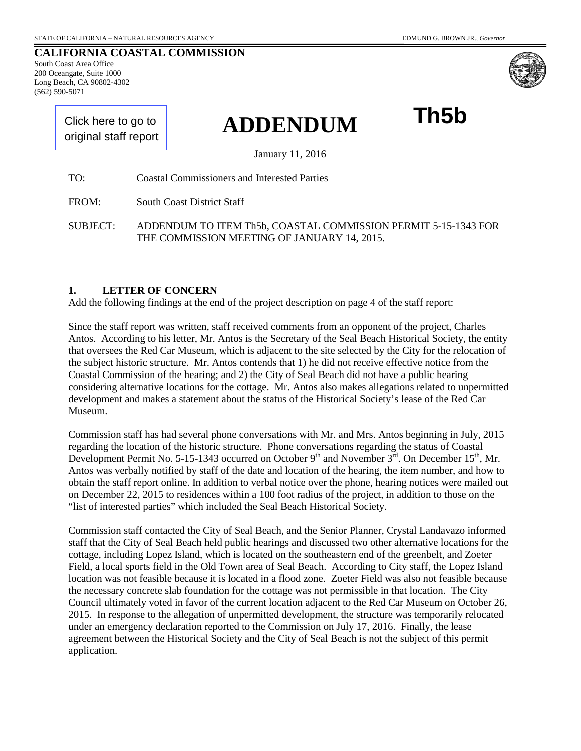**CALIFORNIA COASTAL COMMISSION** South Coast Area Office 200 Oceangate, Suite 1000 Long Beach, CA 90802-4302 (562) 590-5071

**Th5b**

[Click here to go to](#page-6-0)  original staff report

January 11, 2016

**ADDENDUM**

TO: Coastal Commissioners and Interested Parties

FROM: South Coast District Staff

SUBJECT: ADDENDUM TO ITEM Th5b, COASTAL COMMISSION PERMIT 5-15-1343 FOR THE COMMISSION MEETING OF JANUARY 14, 2015.

#### **1. LETTER OF CONCERN**

Add the following findings at the end of the project description on page 4 of the staff report:

Since the staff report was written, staff received comments from an opponent of the project, Charles Antos. According to his letter, Mr. Antos is the Secretary of the Seal Beach Historical Society, the entity that oversees the Red Car Museum, which is adjacent to the site selected by the City for the relocation of the subject historic structure. Mr. Antos contends that 1) he did not receive effective notice from the Coastal Commission of the hearing; and 2) the City of Seal Beach did not have a public hearing considering alternative locations for the cottage. Mr. Antos also makes allegations related to unpermitted development and makes a statement about the status of the Historical Society's lease of the Red Car Museum.

Commission staff has had several phone conversations with Mr. and Mrs. Antos beginning in July, 2015 regarding the location of the historic structure. Phone conversations regarding the status of Coastal Development Permit No. 5-15-1343 occurred on October 9<sup>th</sup> and November  $3^{\text{rd}}$ . On December 15<sup>th</sup>, Mr. Antos was verbally notified by staff of the date and location of the hearing, the item number, and how to obtain the staff report online. In addition to verbal notice over the phone, hearing notices were mailed out on December 22, 2015 to residences within a 100 foot radius of the project, in addition to those on the "list of interested parties" which included the Seal Beach Historical Society.

Commission staff contacted the City of Seal Beach, and the Senior Planner, Crystal Landavazo informed staff that the City of Seal Beach held public hearings and discussed two other alternative locations for the cottage, including Lopez Island, which is located on the southeastern end of the greenbelt, and Zoeter Field, a local sports field in the Old Town area of Seal Beach. According to City staff, the Lopez Island location was not feasible because it is located in a flood zone. Zoeter Field was also not feasible because the necessary concrete slab foundation for the cottage was not permissible in that location. The City Council ultimately voted in favor of the current location adjacent to the Red Car Museum on October 26, 2015. In response to the allegation of unpermitted development, the structure was temporarily relocated under an emergency declaration reported to the Commission on July 17, 2016. Finally, the lease agreement between the Historical Society and the City of Seal Beach is not the subject of this permit application.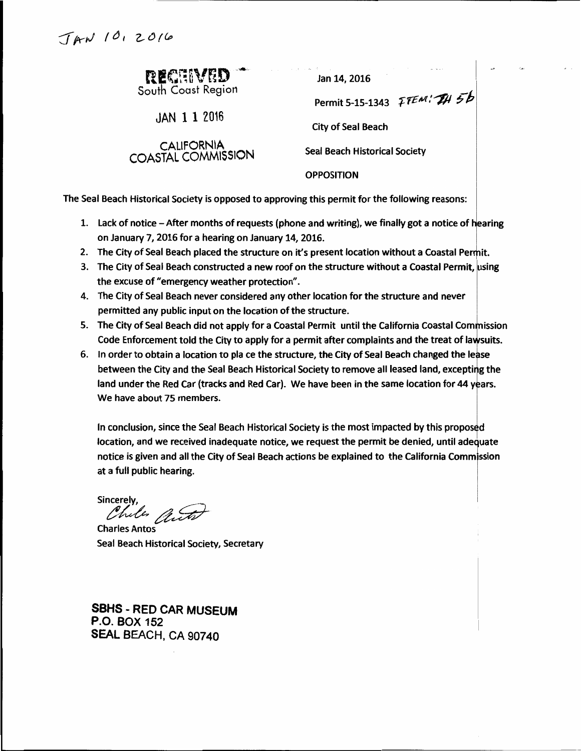| RECHIVED |
|----------|
|          |

 $JAN$  1 1 2016

CALIFORNIA<br>COASTAL COMMISSION

Jan 14, 2016

Permit 5-15-1343 *FTEM*: TH 5b

**City of Seal Beach** 

**Seal Beach Historical Society** 

**OPPOSITION** 

The Seal Beach Historical Society is opposed to approving this permit for the following reasons:

- 1. Lack of notice After months of requests (phone and writing), we finally got a notice of hearing on January 7, 2016 for a hearing on January 14, 2016.
- 2. The City of Seal Beach placed the structure on it's present location without a Coastal Permit.
- 3. The City of Seal Beach constructed a new roof on the structure without a Coastal Permit, using the excuse of "emergency weather protection".
- 4. The City of Seal Beach never considered any other location for the structure and never permitted any public input on the location of the structure.
- 5. The City of Seal Beach did not apply for a Coastal Permit until the California Coastal Commission Code Enforcement told the City to apply for a permit after complaints and the treat of lawsuits.
- 6. In order to obtain a location to pla ce the structure, the City of Seal Beach changed the lease between the City and the Seal Beach Historical Society to remove all leased land, excepting the land under the Red Car (tracks and Red Car). We have been in the same location for 44 years. We have about 75 members.

In conclusion, since the Seal Beach Historical Society is the most impacted by this proposed location, and we received inadequate notice, we request the permit be denied, until adequate notice is given and all the City of Seal Beach actions be explained to the California Commission at a full public hearing.

Sincerely. Chiles auto

**Charles Antos** Seal Beach Historical Society, Secretary

**SBHS - RED CAR MUSEUM P.O. BOX 152** SEAL BEACH, CA 90740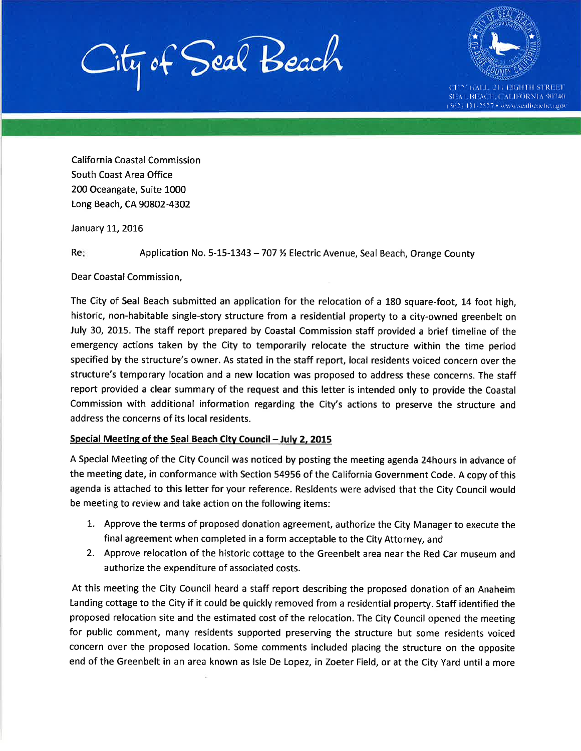City of Seal Beach



CITY HALL 211 FIGHTH STREET SEAL BEACH/CALIFORNIA 90740 (562) 431-2527 • www.sealbeachea.gov

**California Coastal Commission** South Coast Area Office 200 Oceangate, Suite 1000 Long Beach, CA 90802-4302

January 11, 2016

Re: Application No. 5-15-1343 - 707 % Electric Avenue, Seal Beach, Orange County

Dear Coastal Commission,

The City of Seal Beach submitted an application for the relocation of a 180 square-foot, 14 foot high, historic, non-habitable single-story structure from a residential property to a city-owned greenbelt on July 30, 2015. The staff report prepared by Coastal Commission staff provided a brief timeline of the emergency actions taken by the City to temporarily relocate the structure within the time period specified by the structure's owner. As stated in the staff report, local residents voiced concern over the structure's temporary location and a new location was proposed to address these concerns. The staff report provided a clear summary of the request and this letter is intended only to provide the Coastal Commission with additional information regarding the City's actions to preserve the structure and address the concerns of its local residents.

### Special Meeting of the Seal Beach City Council - July 2, 2015

A Special Meeting of the City Council was noticed by posting the meeting agenda 24hours in advance of the meeting date, in conformance with Section 54956 of the California Government Code. A copy of this agenda is attached to this letter for your reference. Residents were advised that the City Council would be meeting to review and take action on the following items:

- 1. Approve the terms of proposed donation agreement, authorize the City Manager to execute the final agreement when completed in a form acceptable to the City Attorney, and
- 2. Approve relocation of the historic cottage to the Greenbelt area near the Red Car museum and authorize the expenditure of associated costs.

At this meeting the City Council heard a staff report describing the proposed donation of an Anaheim Landing cottage to the City if it could be quickly removed from a residential property. Staff identified the proposed relocation site and the estimated cost of the relocation. The City Council opened the meeting for public comment, many residents supported preserving the structure but some residents voiced concern over the proposed location. Some comments included placing the structure on the opposite end of the Greenbelt in an area known as Isle De Lopez, in Zoeter Field, or at the City Yard until a more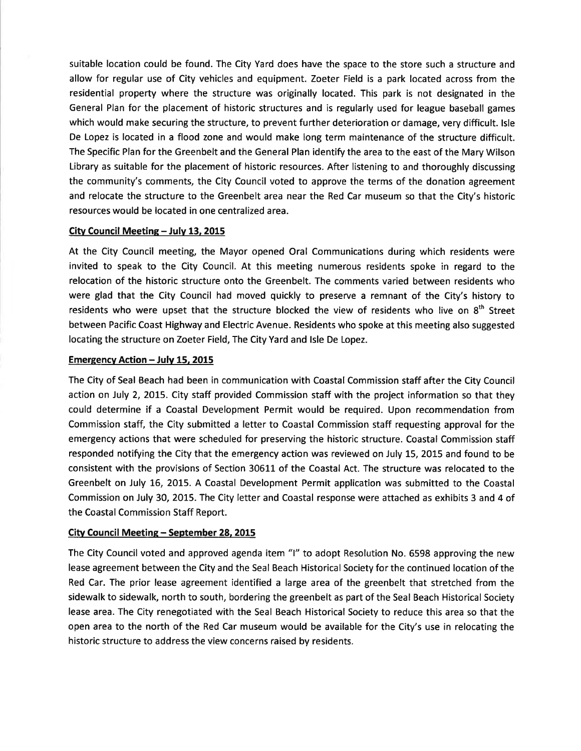suitable location could be found. The City Yard does have the space to the store such a structure and allow for regular use of City vehicles and equipment. Zoeter Field is a park located across from the residential property where the structure was originally located. This park is not designated in the General Plan for the placement of historic structures and is regularly used for league baseball games which would make securing the structure, to prevent further deterioration or damage, very difficult. Isle De Lopez is located in a flood zone and would make long term maintenance of the structure difficult. The Specific Plan for the Greenbelt and the General Plan identify the area to the east of the Mary Wilson Library as suitable for the placement of historic resources. After listening to and thoroughly discussing the community's comments, the City Council voted to approve the terms of the donation agreement and relocate the structure to the Greenbelt area near the Red Car museum so that the City's historic resources would be located in one centralized area.

#### City Council Meeting - July 13, 2015

At the City Council meeting, the Mayor opened Oral Communications during which residents were invited to speak to the City Council. At this meeting numerous residents spoke in regard to the relocation of the historic structure onto the Greenbelt. The comments varied between residents who were glad that the City Council had moved quickly to preserve a remnant of the City's history to residents who were upset that the structure blocked the view of residents who live on 8<sup>th</sup> Street between Pacific Coast Highway and Electric Avenue. Residents who spoke at this meeting also suggested locating the structure on Zoeter Field, The City Yard and Isle De Lopez.

#### **Emergency Action - July 15, 2015**

The City of Seal Beach had been in communication with Coastal Commission staff after the City Council action on July 2, 2015. City staff provided Commission staff with the project information so that they could determine if a Coastal Development Permit would be required. Upon recommendation from Commission staff, the City submitted a letter to Coastal Commission staff requesting approval for the emergency actions that were scheduled for preserving the historic structure. Coastal Commission staff responded notifying the City that the emergency action was reviewed on July 15, 2015 and found to be consistent with the provisions of Section 30611 of the Coastal Act. The structure was relocated to the Greenbelt on July 16, 2015. A Coastal Development Permit application was submitted to the Coastal Commission on July 30, 2015. The City letter and Coastal response were attached as exhibits 3 and 4 of the Coastal Commission Staff Report.

### City Council Meeting - September 28, 2015

The City Council voted and approved agenda item "I" to adopt Resolution No. 6598 approving the new lease agreement between the City and the Seal Beach Historical Society for the continued location of the Red Car. The prior lease agreement identified a large area of the greenbelt that stretched from the sidewalk to sidewalk, north to south, bordering the greenbelt as part of the Seal Beach Historical Society lease area. The City renegotiated with the Seal Beach Historical Society to reduce this area so that the open area to the north of the Red Car museum would be available for the City's use in relocating the historic structure to address the view concerns raised by residents.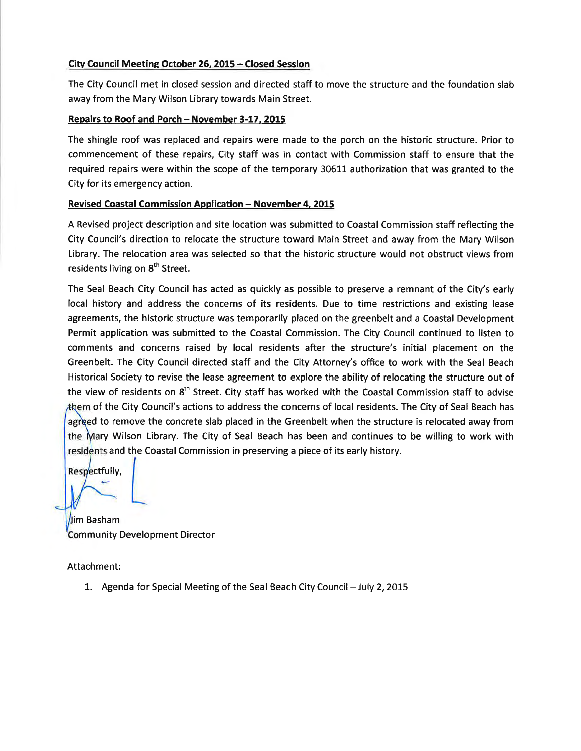### City Council Meeting October 26, 2015 - Closed Session

The City Council met in closed session and directed staff to move the structure and the foundation slab away from the Mary Wilson Library towards Main Street.

### Repairs to Roof and Porch - November 3-17, 2015

The shingle roof was replaced and repairs were made to the porch on the historic structure. Prior to commencement of these repairs, City staff was in contact with Commission staff to ensure that the required repairs were within the scope of the temporary 30611 authorization that was granted to the City for its emergency action.

### **Revised Coastal Commission Application - November 4, 2015**

A Revised project description and site location was submitted to Coastal Commission staff reflecting the City Council's direction to relocate the structure toward Main Street and away from the Mary Wilson Library. The relocation area was selected so that the historic structure would not obstruct views from residents living on 8<sup>th</sup> Street.

The Seal Beach City Council has acted as quickly as possible to preserve a remnant of the City's early local history and address the concerns of its residents. Due to time restrictions and existing lease agreements, the historic structure was temporarily placed on the greenbelt and a Coastal Development Permit application was submitted to the Coastal Commission. The City Council continued to listen to comments and concerns raised by local residents after the structure's initial placement on the Greenbelt. The City Council directed staff and the City Attorney's office to work with the Seal Beach Historical Society to revise the lease agreement to explore the ability of relocating the structure out of the view of residents on 8<sup>th</sup> Street. City staff has worked with the Coastal Commission staff to advise them of the City Council's actions to address the concerns of local residents. The City of Seal Beach has agreed to remove the concrete slab placed in the Greenbelt when the structure is relocated away from the Mary Wilson Library. The City of Seal Beach has been and continues to be willing to work with residents and the Coastal Commission in preserving a piece of its early history.

Respectfully,

Jim Basham Community Development Director

Attachment:

1. Agenda for Special Meeting of the Seal Beach City Council - July 2, 2015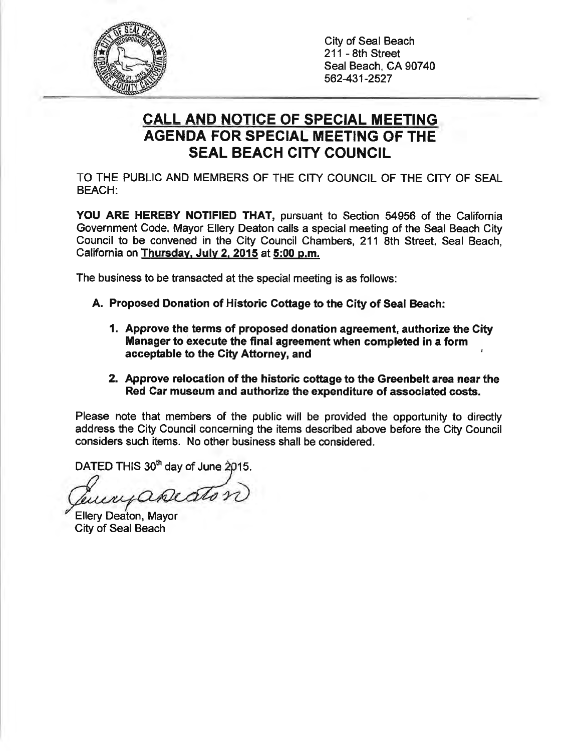

City of Seal Beach 211 - 8th Street Seal Beach, CA 90740 562-431-2527

# **CALL AND NOTICE OF SPECIAL MEETING AGENDA FOR SPECIAL MEETING OF THE SEAL BEACH CITY COUNCIL**

TO THE PUBLIC AND MEMBERS OF THE CITY COUNCIL OF THE CITY OF SEAL **BEACH:** 

YOU ARE HEREBY NOTIFIED THAT, pursuant to Section 54956 of the California Government Code, Mayor Ellery Deaton calls a special meeting of the Seal Beach City Council to be convened in the City Council Chambers, 211 8th Street, Seal Beach, California on Thursday, July 2, 2015 at 5:00 p.m.

The business to be transacted at the special meeting is as follows:

- A. Proposed Donation of Historic Cottage to the City of Seal Beach:
	- 1. Approve the terms of proposed donation agreement, authorize the City Manager to execute the final agreement when completed in a form acceptable to the City Attorney, and
	- 2. Approve relocation of the historic cottage to the Greenbelt area near the Red Car museum and authorize the expenditure of associated costs.

Please note that members of the public will be provided the opportunity to directly address the City Council concerning the items described above before the City Council considers such items. No other business shall be considered.

DATED THIS 30<sup>th</sup> day of June 2015.

rpeaton

Ellery Deaton, Mayor City of Seal Beach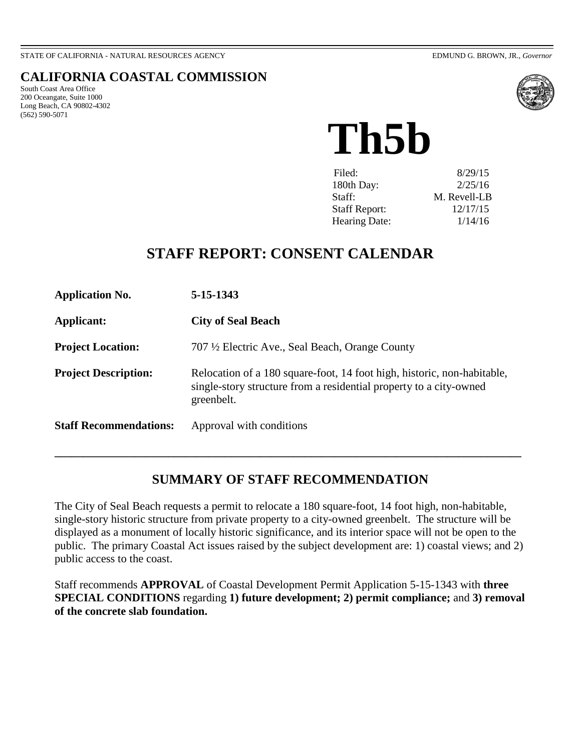<span id="page-6-0"></span>STATE OF CALIFORNIA - NATURAL RESOURCES AGENCY EDMUND G. BROWN, JR., *Governor*

### **CALIFORNIA COASTAL COMMISSION**

South Coast Area Office 200 Oceangate, Suite 1000 Long Beach, CA 90802-4302 (562) 590-5071



**Th5b**

| Filed:<br>180th Day:<br>Staff: | 8/29/15<br>2/25/16<br>M. Revell-LB |
|--------------------------------|------------------------------------|
| <b>Staff Report:</b>           | 12/17/15                           |
| Hearing Date:                  | 1/14/16                            |

# **STAFF REPORT: CONSENT CALENDAR**

| <b>Application No.</b>        | 5-15-1343                                                                                                                                                   |
|-------------------------------|-------------------------------------------------------------------------------------------------------------------------------------------------------------|
| Applicant:                    | <b>City of Seal Beach</b>                                                                                                                                   |
| <b>Project Location:</b>      | 707 ½ Electric Ave., Seal Beach, Orange County                                                                                                              |
| <b>Project Description:</b>   | Relocation of a 180 square-foot, 14 foot high, historic, non-habitable,<br>single-story structure from a residential property to a city-owned<br>greenbelt. |
| <b>Staff Recommendations:</b> | Approval with conditions                                                                                                                                    |

## **SUMMARY OF STAFF RECOMMENDATION**

**\_\_\_\_\_\_\_\_\_\_\_\_\_\_\_\_\_\_\_\_\_\_\_\_\_\_\_\_\_\_\_\_\_\_\_\_\_\_\_\_\_\_\_\_\_\_\_\_\_\_\_\_\_\_\_\_\_\_\_\_\_\_\_\_\_\_\_\_\_\_\_\_\_\_\_\_\_\_\_\_\_\_** 

The City of Seal Beach requests a permit to relocate a 180 square-foot, 14 foot high, non-habitable, single-story historic structure from private property to a city-owned greenbelt. The structure will be displayed as a monument of locally historic significance, and its interior space will not be open to the public. The primary Coastal Act issues raised by the subject development are: 1) coastal views; and 2) public access to the coast.

Staff recommends **APPROVAL** of Coastal Development Permit Application 5-15-1343 with **three SPECIAL CONDITIONS** regarding **1) future development; 2) permit compliance;** and **3) removal of the concrete slab foundation.**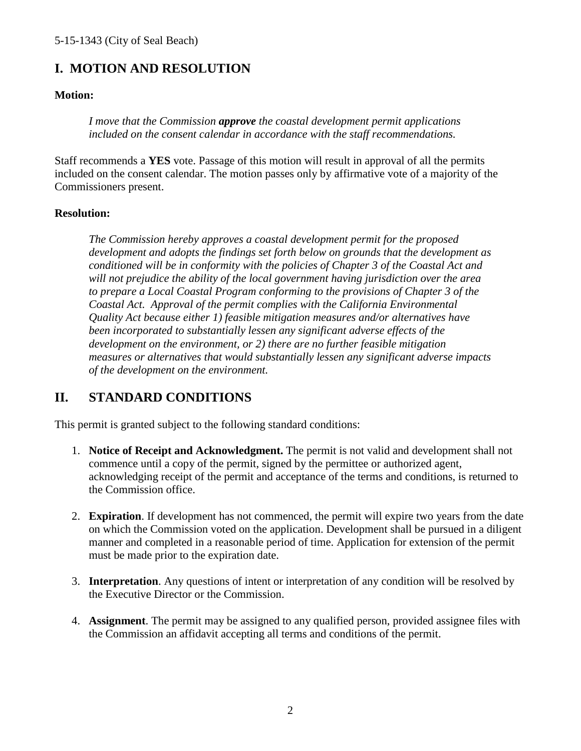## **I. MOTION AND RESOLUTION**

### **Motion:**

*I move that the Commission approve the coastal development permit applications included on the consent calendar in accordance with the staff recommendations.* 

Staff recommends a **YES** vote. Passage of this motion will result in approval of all the permits included on the consent calendar. The motion passes only by affirmative vote of a majority of the Commissioners present.

### **Resolution:**

*The Commission hereby approves a coastal development permit for the proposed development and adopts the findings set forth below on grounds that the development as conditioned will be in conformity with the policies of Chapter 3 of the Coastal Act and will not prejudice the ability of the local government having jurisdiction over the area to prepare a Local Coastal Program conforming to the provisions of Chapter 3 of the Coastal Act. Approval of the permit complies with the California Environmental Quality Act because either 1) feasible mitigation measures and/or alternatives have been incorporated to substantially lessen any significant adverse effects of the development on the environment, or 2) there are no further feasible mitigation measures or alternatives that would substantially lessen any significant adverse impacts of the development on the environment.* 

## **II. STANDARD CONDITIONS**

This permit is granted subject to the following standard conditions:

- 1. **Notice of Receipt and Acknowledgment.** The permit is not valid and development shall not commence until a copy of the permit, signed by the permittee or authorized agent, acknowledging receipt of the permit and acceptance of the terms and conditions, is returned to the Commission office.
- 2. **Expiration**. If development has not commenced, the permit will expire two years from the date on which the Commission voted on the application. Development shall be pursued in a diligent manner and completed in a reasonable period of time. Application for extension of the permit must be made prior to the expiration date.
- 3. **Interpretation**. Any questions of intent or interpretation of any condition will be resolved by the Executive Director or the Commission.
- 4. **Assignment**. The permit may be assigned to any qualified person, provided assignee files with the Commission an affidavit accepting all terms and conditions of the permit.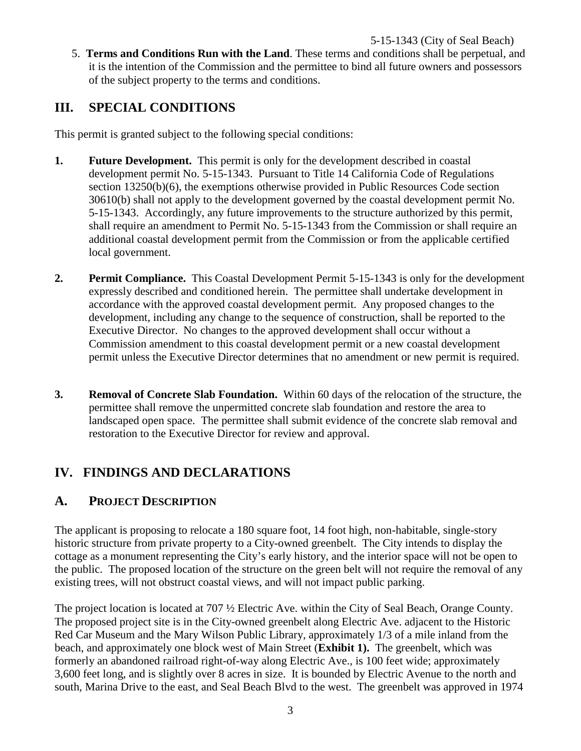5. **Terms and Conditions Run with the Land**. These terms and conditions shall be perpetual, and it is the intention of the Commission and the permittee to bind all future owners and possessors of the subject property to the terms and conditions.

## **III. SPECIAL CONDITIONS**

This permit is granted subject to the following special conditions:

- **1. Future Development.** This permit is only for the development described in coastal development permit No. 5-15-1343. Pursuant to Title 14 California Code of Regulations section 13250(b)(6), the exemptions otherwise provided in Public Resources Code section 30610(b) shall not apply to the development governed by the coastal development permit No. 5-15-1343. Accordingly, any future improvements to the structure authorized by this permit, shall require an amendment to Permit No. 5-15-1343 from the Commission or shall require an additional coastal development permit from the Commission or from the applicable certified local government.
- **2. Permit Compliance.** This Coastal Development Permit 5-15-1343 is only for the development expressly described and conditioned herein. The permittee shall undertake development in accordance with the approved coastal development permit. Any proposed changes to the development, including any change to the sequence of construction, shall be reported to the Executive Director. No changes to the approved development shall occur without a Commission amendment to this coastal development permit or a new coastal development permit unless the Executive Director determines that no amendment or new permit is required.
- **3. Removal of Concrete Slab Foundation.** Within 60 days of the relocation of the structure, the permittee shall remove the unpermitted concrete slab foundation and restore the area to landscaped open space. The permittee shall submit evidence of the concrete slab removal and restoration to the Executive Director for review and approval.

## **IV. FINDINGS AND DECLARATIONS**

### **A. PROJECT DESCRIPTION**

The applicant is proposing to relocate a 180 square foot, 14 foot high, non-habitable, single-story historic structure from private property to a City-owned greenbelt. The City intends to display the cottage as a monument representing the City's early history, and the interior space will not be open to the public. The proposed location of the structure on the green belt will not require the removal of any existing trees, will not obstruct coastal views, and will not impact public parking.

The project location is located at 707 ½ Electric Ave. within the City of Seal Beach, Orange County. The proposed project site is in the City-owned greenbelt along Electric Ave. adjacent to the Historic Red Car Museum and the Mary Wilson Public Library, approximately 1/3 of a mile inland from the beach, and approximately one block west of Main Street (**Exhibit 1).** The greenbelt, which was formerly an abandoned railroad right-of-way along Electric Ave., is 100 feet wide; approximately 3,600 feet long, and is slightly over 8 acres in size. It is bounded by Electric Avenue to the north and south, Marina Drive to the east, and Seal Beach Blvd to the west. The greenbelt was approved in 1974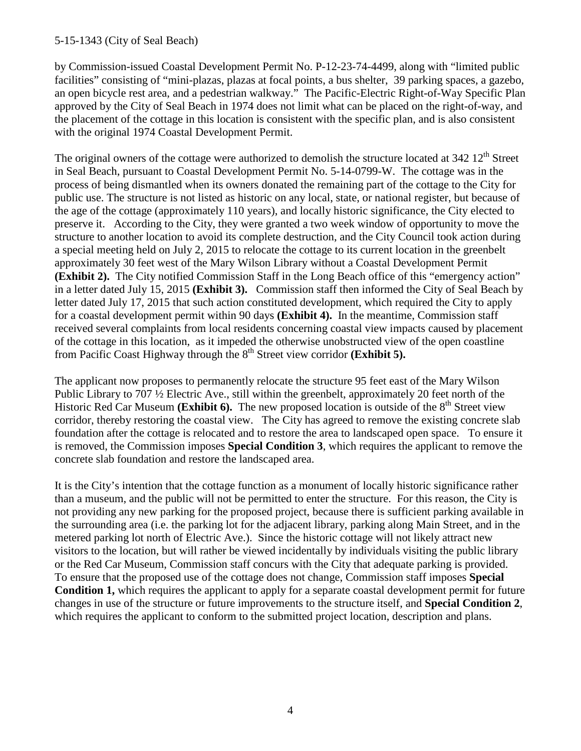### 5-15-1343 (City of Seal Beach)

by Commission-issued Coastal Development Permit No. P-12-23-74-4499, along with "limited public facilities" consisting of "mini-plazas, plazas at focal points, a bus shelter, 39 parking spaces, a gazebo, an open bicycle rest area, and a pedestrian walkway." The Pacific-Electric Right-of-Way Specific Plan approved by the City of Seal Beach in 1974 does not limit what can be placed on the right-of-way, and the placement of the cottage in this location is consistent with the specific plan, and is also consistent with the original 1974 Coastal Development Permit.

The original owners of the cottage were authorized to demolish the structure located at 342 12<sup>th</sup> Street in Seal Beach, pursuant to Coastal Development Permit No. 5-14-0799-W. The cottage was in the process of being dismantled when its owners donated the remaining part of the cottage to the City for public use. The structure is not listed as historic on any local, state, or national register, but because of the age of the cottage (approximately 110 years), and locally historic significance, the City elected to preserve it. According to the City, they were granted a two week window of opportunity to move the structure to another location to avoid its complete destruction, and the City Council took action during a special meeting held on July 2, 2015 to relocate the cottage to its current location in the greenbelt approximately 30 feet west of the Mary Wilson Library without a Coastal Development Permit **(Exhibit 2).** The City notified Commission Staff in the Long Beach office of this "emergency action" in a letter dated July 15, 2015 **(Exhibit 3).** Commission staff then informed the City of Seal Beach by letter dated July 17, 2015 that such action constituted development, which required the City to apply for a coastal development permit within 90 days **(Exhibit 4).** In the meantime, Commission staff received several complaints from local residents concerning coastal view impacts caused by placement of the cottage in this location, as it impeded the otherwise unobstructed view of the open coastline from Pacific Coast Highway through the 8<sup>th</sup> Street view corridor **(Exhibit 5).** 

The applicant now proposes to permanently relocate the structure 95 feet east of the Mary Wilson Public Library to 707 ½ Electric Ave., still within the greenbelt, approximately 20 feet north of the Historic Red Car Museum (**Exhibit 6**). The new proposed location is outside of the 8<sup>th</sup> Street view corridor, thereby restoring the coastal view. The City has agreed to remove the existing concrete slab foundation after the cottage is relocated and to restore the area to landscaped open space. To ensure it is removed, the Commission imposes **Special Condition 3**, which requires the applicant to remove the concrete slab foundation and restore the landscaped area.

It is the City's intention that the cottage function as a monument of locally historic significance rather than a museum, and the public will not be permitted to enter the structure. For this reason, the City is not providing any new parking for the proposed project, because there is sufficient parking available in the surrounding area (i.e. the parking lot for the adjacent library, parking along Main Street, and in the metered parking lot north of Electric Ave.). Since the historic cottage will not likely attract new visitors to the location, but will rather be viewed incidentally by individuals visiting the public library or the Red Car Museum, Commission staff concurs with the City that adequate parking is provided. To ensure that the proposed use of the cottage does not change, Commission staff imposes **Special Condition 1,** which requires the applicant to apply for a separate coastal development permit for future changes in use of the structure or future improvements to the structure itself, and **Special Condition 2**, which requires the applicant to conform to the submitted project location, description and plans.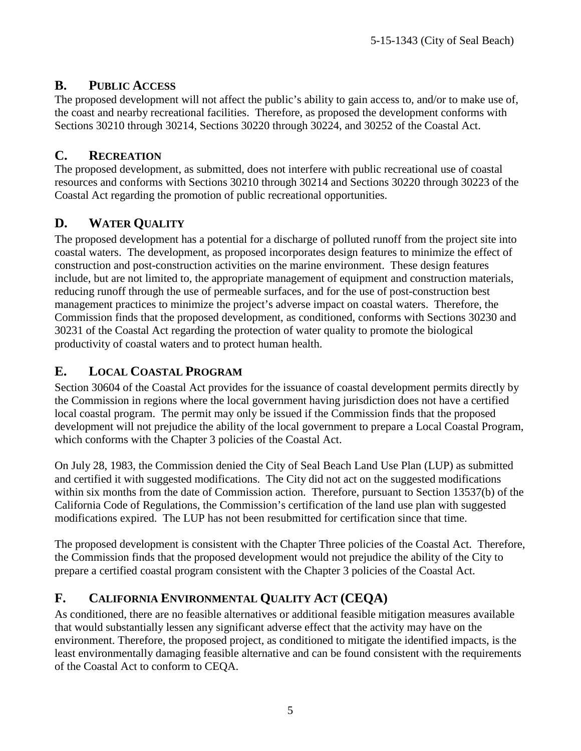## **B. PUBLIC ACCESS**

The proposed development will not affect the public's ability to gain access to, and/or to make use of, the coast and nearby recreational facilities. Therefore, as proposed the development conforms with Sections 30210 through 30214, Sections 30220 through 30224, and 30252 of the Coastal Act.

## **C. RECREATION**

The proposed development, as submitted, does not interfere with public recreational use of coastal resources and conforms with Sections 30210 through 30214 and Sections 30220 through 30223 of the Coastal Act regarding the promotion of public recreational opportunities.

## **D. WATER QUALITY**

The proposed development has a potential for a discharge of polluted runoff from the project site into coastal waters. The development, as proposed incorporates design features to minimize the effect of construction and post-construction activities on the marine environment. These design features include, but are not limited to, the appropriate management of equipment and construction materials, reducing runoff through the use of permeable surfaces, and for the use of post-construction best management practices to minimize the project's adverse impact on coastal waters. Therefore, the Commission finds that the proposed development, as conditioned, conforms with Sections 30230 and 30231 of the Coastal Act regarding the protection of water quality to promote the biological productivity of coastal waters and to protect human health.

## **E. LOCAL COASTAL PROGRAM**

Section 30604 of the Coastal Act provides for the issuance of coastal development permits directly by the Commission in regions where the local government having jurisdiction does not have a certified local coastal program. The permit may only be issued if the Commission finds that the proposed development will not prejudice the ability of the local government to prepare a Local Coastal Program, which conforms with the Chapter 3 policies of the Coastal Act.

On July 28, 1983, the Commission denied the City of Seal Beach Land Use Plan (LUP) as submitted and certified it with suggested modifications. The City did not act on the suggested modifications within six months from the date of Commission action. Therefore, pursuant to Section 13537(b) of the California Code of Regulations, the Commission's certification of the land use plan with suggested modifications expired. The LUP has not been resubmitted for certification since that time.

The proposed development is consistent with the Chapter Three policies of the Coastal Act. Therefore, the Commission finds that the proposed development would not prejudice the ability of the City to prepare a certified coastal program consistent with the Chapter 3 policies of the Coastal Act.

## **F. CALIFORNIA ENVIRONMENTAL QUALITY ACT (CEQA)**

As conditioned, there are no feasible alternatives or additional feasible mitigation measures available that would substantially lessen any significant adverse effect that the activity may have on the environment. Therefore, the proposed project, as conditioned to mitigate the identified impacts, is the least environmentally damaging feasible alternative and can be found consistent with the requirements of the Coastal Act to conform to CEQA.